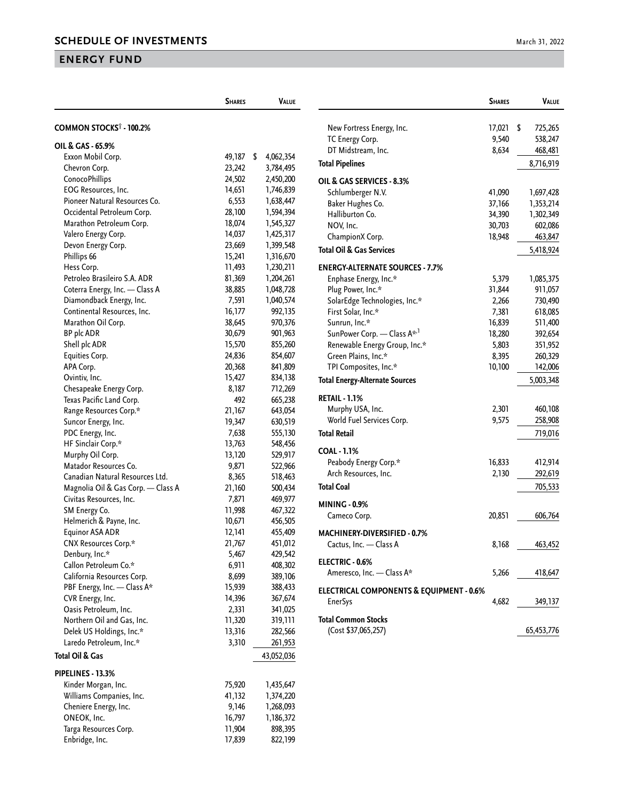## **ENERGY FUND**

|                                     | <b>SHARES</b> | <b>VALUE</b>    |                             |
|-------------------------------------|---------------|-----------------|-----------------------------|
| COMMON STOCKS <sup>†</sup> - 100.2% |               |                 | New Fortress Ene            |
| OIL & GAS - 65.9%                   |               |                 | TC Energy Corp.             |
| Exxon Mobil Corp.                   | 49,187        | \$<br>4,062,354 | DT Midstream, In            |
| Chevron Corp.                       | 23,242        | 3,784,495       | <b>Total Pipelines</b>      |
| ConocoPhillips                      | 24,502        | 2,450,200       | OIL & GAS SERVICI           |
| EOG Resources, Inc.                 | 14,651        | 1,746,839       | Schlumberger N.             |
| Pioneer Natural Resources Co.       | 6,553         | 1,638,447       | <b>Baker Hughes Co</b>      |
| Occidental Petroleum Corp.          | 28,100        | 1,594,394       | Halliburton Co.             |
| Marathon Petroleum Corp.            | 18,074        | 1,545,327       | NOV, Inc.                   |
| Valero Energy Corp.                 | 14,037        | 1,425,317       | ChampionX Corp              |
| Devon Energy Corp.                  | 23,669        | 1,399,548       | Total Oil & Gas Serv        |
| Phillips 66                         | 15,241        | 1,316,670       |                             |
| Hess Corp.                          | 11,493        | 1,230,211       | <b>ENERGY-ALTERNAT</b>      |
| Petroleo Brasileiro S.A. ADR        | 81,369        | 1,204,261       | Enphase Energy,             |
| Coterra Energy, Inc. - Class A      | 38,885        | 1,048,728       | Plug Power, Inc.*           |
| Diamondback Energy, Inc.            | 7,591         | 1,040,574       | SolarEdge Techno            |
| Continental Resources, Inc.         | 16,177        | 992,135         | First Solar, Inc.*          |
| Marathon Oil Corp.                  | 38,645        | 970,376         | Sunrun, Inc.*               |
| BP plc ADR                          | 30,679        | 901,963         | SunPower Corp. -            |
| Shell plc ADR                       | 15,570        | 855,260         | Renewable Energ             |
| Equities Corp.                      | 24,836        | 854,607         | Green Plains, Inc           |
| APA Corp.                           | 20,368        | 841,809         | TPI Composites,             |
| Ovintiv, Inc.                       | 15,427        | 834,138         | <b>Total Energy-Alterna</b> |
| Chesapeake Energy Corp.             | 8,187         | 712,269         |                             |
| Texas Pacific Land Corp.            | 492           | 665,238         | <b>RETAIL - 1.1%</b>        |
| Range Resources Corp.*              | 21,167        | 643,054         | Murphy USA, Inc             |
| Suncor Energy, Inc.                 | 19,347        | 630,519         | World Fuel Servio           |
| PDC Energy, Inc.                    | 7,638         | 555,130         | <b>Total Retail</b>         |
| HF Sinclair Corp.*                  | 13,763        | 548,456         | <b>COAL - 1.1%</b>          |
| Murphy Oil Corp.                    | 13,120        | 529,917         | Peabody Energy (            |
| Matador Resources Co.               | 9,871         | 522,966         | Arch Resources,             |
| Canadian Natural Resources Ltd.     | 8,365         | 518,463         |                             |
| Magnolia Oil & Gas Corp. - Class A  | 21,160        | 500,434         | <b>Total Coal</b>           |
| Civitas Resources, Inc.             | 7,871         | 469,977         | <b>MINING - 0.9%</b>        |
| SM Energy Co.                       | 11,998        | 467,322         | Cameco Corp.                |
| Helmerich & Payne, Inc.             | 10,671        | 456,505         |                             |
| <b>Equinor ASA ADR</b>              | 12,141        | 455,409         | <b>MACHINERY-DIVEI</b>      |
| CNX Resources Corp.*                | 21,767        | 451,012         | Cactus, Inc. - C            |
| Denbury, Inc.*                      | 5,467         | 429,542         | ELECTRIC - 0.6%             |
| Callon Petroleum Co.*               | 6,911         | 408,302         | Ameresco, Inc. -            |
| California Resources Corp.          | 8,699         | 389,106         |                             |
| PBF Energy, Inc. - Class A*         | 15,939        | 388,433         | <b>ELECTRICAL COMP</b>      |
| CVR Energy, Inc.                    | 14,396        | 367,674         | <b>EnerSys</b>              |
| Oasis Petroleum, Inc.               | 2,331         | 341,025         | <b>Total Common Stoc</b>    |
| Northern Oil and Gas, Inc.          | 11,320        | 319,111         |                             |
| Delek US Holdings, Inc.*            | 13,316        | 282,566         | (Cost \$37,065,25)          |
| Laredo Petroleum, Inc.*             | 3,310         | 261,953         |                             |
| Total Oil & Gas                     |               | 43,052,036      |                             |
| PIPELINES - 13.3%                   |               |                 |                             |
| Kinder Morgan, Inc.                 | 75,920        | 1,435,647       |                             |
| Williams Companies, Inc.            | 41,132        | 1,374,220       |                             |
| Cheniere Energy, Inc.               | 9,146         | 1,268,093       |                             |
| ONEOK, Inc.                         | 16,797        | 1,186,372       |                             |
| Targa Resources Corp.               | 11,904        | 898,395         |                             |
| Enbridge, Inc.                      | 17,839        | 822,199         |                             |

|                                          | <b>SHARES</b> | VALUE         |
|------------------------------------------|---------------|---------------|
| New Fortress Energy, Inc.                | 17,021        | \$<br>725,265 |
| TC Energy Corp.                          | 9,540         | 538,247       |
| DT Midstream, Inc.                       | 8,634         | 468,481       |
| <b>Total Pipelines</b>                   |               | 8,716,919     |
| OIL & GAS SERVICES - 8.3%                |               |               |
| Schlumberger N.V.                        | 41,090        | 1,697,428     |
| Baker Hughes Co.                         | 37,166        | 1,353,214     |
| Halliburton Co.                          | 34,390        | 1,302,349     |
| NOV, Inc.                                | 30,703        | 602,086       |
| ChampionX Corp.                          | 18,948        | 463,847       |
| Total Oil & Gas Services                 |               | 5,418,924     |
| <b>ENERGY-ALTERNATE SOURCES - 7.7%</b>   |               |               |
| Enphase Energy, Inc.*                    | 5,379         | 1,085,375     |
| Plug Power, Inc.*                        | 31,844        | 911,057       |
| SolarEdge Technologies, Inc.*            | 2,266         | 730,490       |
| First Solar, Inc.*                       | 7,381         | 618,085       |
| Sunrun, Inc.*                            | 16,839        | 511,400       |
| SunPower Corp. - Class A*,1              | 18,280        | 392,654       |
| Renewable Energy Group, Inc.*            | 5,803         | 351,952       |
| Green Plains, Inc.*                      | 8,395         | 260,329       |
| TPI Composites, Inc.*                    | 10,100        | 142,006       |
| Total Energy-Alternate Sources           |               | 5,003,348     |
| RETAIL - 1.1%                            |               |               |
| Murphy USA, Inc.                         | 2,301         | 460,108       |
| World Fuel Services Corp.                | 9,575         | 258,908       |
| <b>Total Retail</b>                      |               | 719,016       |
| COAL - 1.1%                              |               |               |
| Peabody Energy Corp.*                    | 16,833        | 412,914       |
| Arch Resources, Inc.                     | 2,130         | 292,619       |
| Total Coal                               |               | 705,533       |
| MINING - 0.9%                            |               |               |
| Cameco Corp.                             | 20,851        | 606,764       |
| MACHINERY-DIVERSIFIED - 0.7%             |               |               |
| Cactus, Inc. — Class A                   | 8,168         | 463,452       |
| ELECTRIC - 0.6%                          |               |               |
| Ameresco, Inc. - Class A*                |               | 5,266 418,647 |
| ELECTRICAL COMPONENTS & EQUIPMENT - 0.6% |               |               |
| <b>EnerSys</b>                           | 4,682         | 349,137       |
| Total Common Stocks                      |               |               |
| (Cost \$37,065,257)                      |               | 65,453,776    |